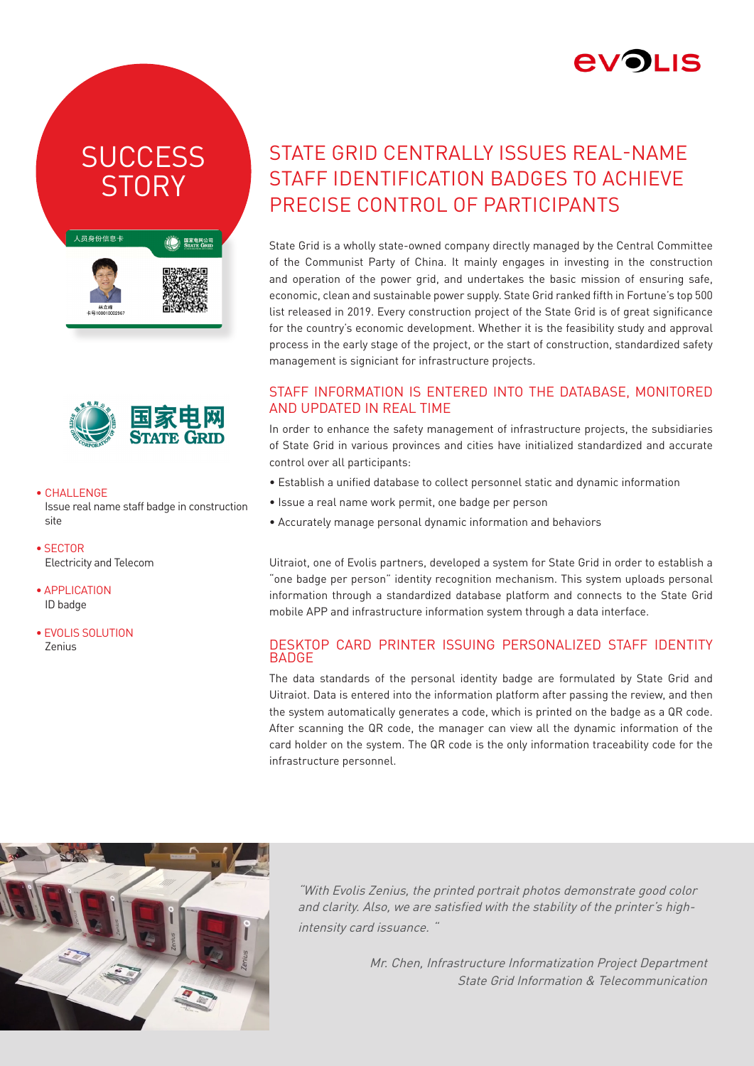

## **SUCCESS STORY**

| 国家电网公司<br><b>STATE GRID</b><br>COMPOSITION OF CHANG |
|-----------------------------------------------------|
|                                                     |
|                                                     |



#### • CHALLENGE

Issue real name staff badge in construction site

- SECTOR Electricity and Telecom
- APPLICATION ID badge
- EVOLIS SOLUTION Zenius

### STATE GRID CENTRALLY ISSUES REAL-NAME STAFF IDENTIFICATION BADGES TO ACHIEVE PRECISE CONTROL OF PARTICIPANTS

State Grid is a wholly state-owned company directly managed by the Central Committee of the Communist Party of China. It mainly engages in investing in the construction and operation of the power grid, and undertakes the basic mission of ensuring safe, economic, clean and sustainable power supply. State Grid ranked fifth in Fortune's top 500 list released in 2019. Every construction project of the State Grid is of great significance for the country's economic development. Whether it is the feasibility study and approval process in the early stage of the project, or the start of construction, standardized safety management is signiciant for infrastructure projects.

#### STAFF INFORMATION IS ENTERED INTO THE DATABASE, MONITORED AND UPDATED IN REAL TIME

In order to enhance the safety management of infrastructure projects, the subsidiaries of State Grid in various provinces and cities have initialized standardized and accurate control over all participants:

- Establish a unified database to collect personnel static and dynamic information
- Issue a real name work permit, one badge per person
- Accurately manage personal dynamic information and behaviors

Uitraiot, one of Evolis partners, developed a system for State Grid in order to establish a "one badge per person" identity recognition mechanism. This system uploads personal information through a standardized database platform and connects to the State Grid mobile APP and infrastructure information system through a data interface.

#### DESKTOP CARD PRINTER ISSUING PERSONALIZED STAFF IDENTITY **BADGE**

The data standards of the personal identity badge are formulated by State Grid and Uitraiot. Data is entered into the information platform after passing the review, and then the system automatically generates a code, which is printed on the badge as a QR code. After scanning the QR code, the manager can view all the dynamic information of the card holder on the system. The QR code is the only information traceability code for the infrastructure personnel.



"With Evolis Zenius, the printed portrait photos demonstrate good color and clarity. Also, we are satisfied with the stability of the printer's highintensity card issuance. "

> Mr. Chen, Infrastructure Informatization Project Department State Grid Information & Telecommunication